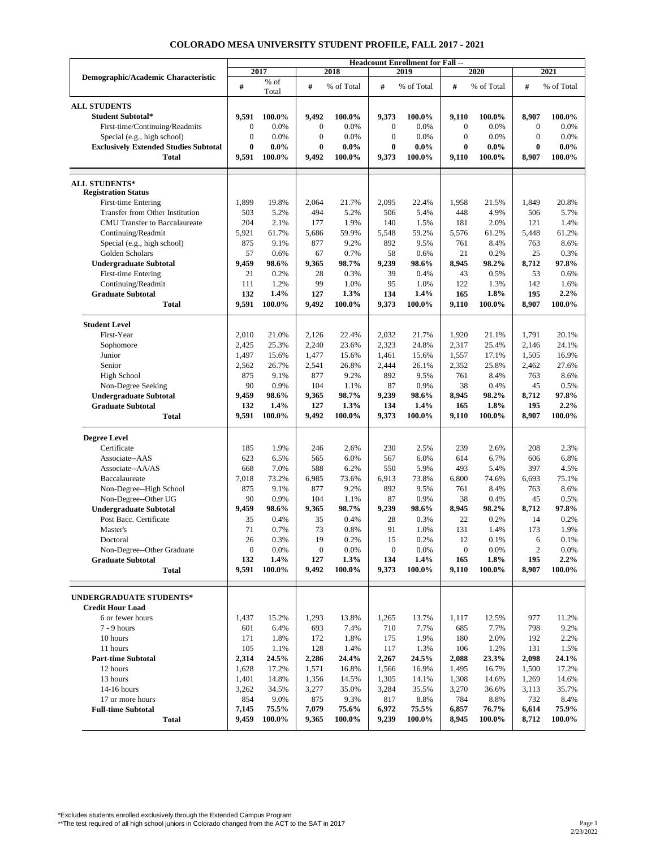|                                              | <b>Headcount Enrollment for Fall --</b> |         |                  |            |                  |            |                  |            |              |            |
|----------------------------------------------|-----------------------------------------|---------|------------------|------------|------------------|------------|------------------|------------|--------------|------------|
| Demographic/Academic Characteristic          | 2017                                    |         | 2018             |            | 2019             |            | 2020             |            | 2021         |            |
|                                              | #                                       | $%$ of  | #                | % of Total | #                | % of Total | #                | % of Total | #            | % of Total |
|                                              |                                         | Total   |                  |            |                  |            |                  |            |              |            |
| <b>ALL STUDENTS</b>                          |                                         |         |                  |            |                  |            |                  |            |              |            |
| Student Subtotal*                            | 9,591                                   | 100.0%  | 9,492            | 100.0%     | 9,373            | 100.0%     | 9,110            | 100.0%     | 8,907        | 100.0%     |
| First-time/Continuing/Readmits               | $\boldsymbol{0}$                        | 0.0%    | $\boldsymbol{0}$ | 0.0%       | $\boldsymbol{0}$ | 0.0%       | $\bf{0}$         | 0.0%       | $\mathbf{0}$ | 0.0%       |
| Special (e.g., high school)                  | $\mathbf{0}$                            | 0.0%    | $\overline{0}$   | 0.0%       | $\mathbf{0}$     | 0.0%       | $\theta$         | 0.0%       | $\mathbf{0}$ | 0.0%       |
| <b>Exclusively Extended Studies Subtotal</b> | $\bf{0}$                                | $0.0\%$ | $\bf{0}$         | $0.0\%$    | $\bf{0}$         | $0.0\%$    | $\bf{0}$         | $0.0\%$    | $\bf{0}$     | $0.0\%$    |
| Total                                        | 9,591                                   | 100.0%  | 9,492            | 100.0%     | 9,373            | 100.0%     | 9,110            | 100.0%     | 8,907        | 100.0%     |
|                                              |                                         |         |                  |            |                  |            |                  |            |              |            |
|                                              |                                         |         |                  |            |                  |            |                  |            |              |            |
| <b>ALL STUDENTS*</b>                         |                                         |         |                  |            |                  |            |                  |            |              |            |
| <b>Registration Status</b>                   |                                         |         |                  |            |                  |            |                  |            |              |            |
| First-time Entering                          | 1,899                                   | 19.8%   | 2,064            | 21.7%      | 2,095            | 22.4%      | 1,958            | 21.5%      | 1,849        | 20.8%      |
| Transfer from Other Institution              | 503                                     | 5.2%    | 494              | 5.2%       | 506              | 5.4%       | 448              | 4.9%       | 506          | 5.7%       |
| CMU Transfer to Baccalaureate                | 204                                     | 2.1%    | 177              | 1.9%       | 140              | 1.5%       | 181              | 2.0%       | 121          | 1.4%       |
| Continuing/Readmit                           | 5,921                                   | 61.7%   | 5,686            | 59.9%      | 5,548            | 59.2%      | 5,576            | 61.2%      | 5,448        | 61.2%      |
| Special (e.g., high school)                  | 875                                     | 9.1%    | 877              | 9.2%       | 892              | 9.5%       | 761              | 8.4%       | 763          | 8.6%       |
| Golden Scholars                              | 57                                      | 0.6%    | 67               | 0.7%       | 58               | 0.6%       | 21               | 0.2%       | 25           | 0.3%       |
| <b>Undergraduate Subtotal</b>                | 9,459                                   | 98.6%   | 9,365            | 98.7%      | 9,239            | 98.6%      | 8,945            | 98.2%      | 8,712        | 97.8%      |
| First-time Entering                          | 21                                      | 0.2%    | 28               | 0.3%       | 39               | 0.4%       | 43               | 0.5%       | 53           | 0.6%       |
| Continuing/Readmit                           | 111                                     | 1.2%    | 99               | 1.0%       | 95               | 1.0%       | 122              | 1.3%       | 142          | 1.6%       |
| <b>Graduate Subtotal</b>                     | 132                                     | 1.4%    | 127              | 1.3%       | 134              | 1.4%       | 165              | 1.8%       | 195          | 2.2%       |
| <b>Total</b>                                 | 9,591                                   | 100.0%  | 9,492            | 100.0%     | 9,373            | 100.0%     | 9,110            | 100.0%     | 8,907        | 100.0%     |
|                                              |                                         |         |                  |            |                  |            |                  |            |              |            |
| <b>Student Level</b>                         |                                         |         |                  |            |                  |            |                  |            |              |            |
| First-Year                                   | 2,010                                   | 21.0%   | 2,126            | 22.4%      | 2,032            | 21.7%      | 1,920            | 21.1%      | 1,791        | 20.1%      |
| Sophomore                                    | 2,425                                   | 25.3%   | 2,240            | 23.6%      | 2,323            | 24.8%      | 2,317            | 25.4%      | 2,146        | 24.1%      |
| Junior                                       | 1,497                                   | 15.6%   | 1,477            | 15.6%      | 1,461            | 15.6%      | 1,557            | 17.1%      | 1,505        | 16.9%      |
| Senior                                       | 2,562                                   | 26.7%   | 2,541            | 26.8%      | 2,444            | 26.1%      | 2,352            | 25.8%      | 2,462        | 27.6%      |
| High School                                  | 875                                     | 9.1%    | 877              | 9.2%       | 892              | 9.5%       | 761              | 8.4%       | 763          | 8.6%       |
| Non-Degree Seeking                           | 90                                      | 0.9%    | 104              | 1.1%       | 87               | 0.9%       | 38               | 0.4%       | 45           | 0.5%       |
| <b>Undergraduate Subtotal</b>                | 9,459                                   | 98.6%   | 9,365            | 98.7%      | 9,239            | 98.6%      | 8,945            | 98.2%      | 8,712        | 97.8%      |
| <b>Graduate Subtotal</b>                     | 132                                     | 1.4%    | 127              | 1.3%       | 134              | 1.4%       | 165              | 1.8%       | 195          | 2.2%       |
| <b>Total</b>                                 | 9,591                                   | 100.0%  | 9,492            | 100.0%     | 9,373            | 100.0%     | 9,110            | 100.0%     | 8,907        | 100.0%     |
|                                              |                                         |         |                  |            |                  |            |                  |            |              |            |
| <b>Degree Level</b>                          |                                         |         |                  |            |                  |            |                  |            |              |            |
| Certificate                                  | 185                                     | 1.9%    | 246              | 2.6%       | 230              | 2.5%       | 239              | 2.6%       | 208          | 2.3%       |
| Associate--AAS                               | 623                                     | 6.5%    | 565              | 6.0%       | 567              | 6.0%       | 614              | 6.7%       | 606          | 6.8%       |
| Associate--AA/AS                             | 668                                     | 7.0%    | 588              | 6.2%       | 550              | 5.9%       | 493              | 5.4%       | 397          | 4.5%       |
| Baccalaureate                                | 7,018                                   | 73.2%   | 6,985            | 73.6%      | 6,913            | 73.8%      | 6,800            | 74.6%      | 6,693        | 75.1%      |
| Non-Degree--High School                      | 875                                     | 9.1%    | 877              | 9.2%       | 892              | 9.5%       | 761              | 8.4%       | 763          | 8.6%       |
| Non-Degree--Other UG                         | 90                                      | 0.9%    | 104              | 1.1%       | 87               | 0.9%       | 38               | 0.4%       | 45           | 0.5%       |
| <b>Undergraduate Subtotal</b>                | 9,459                                   | 98.6%   | 9,365            | 98.7%      | 9,239            | 98.6%      | 8,945            | 98.2%      | 8,712        | 97.8%      |
| Post Bacc. Certificate                       | 35                                      | 0.4%    | 35               | 0.4%       | 28               | 0.3%       | 22               | 0.2%       | 14           | 0.2%       |
| Master's                                     | 71                                      | 0.7%    | 73               | 0.8%       | 91               | 1.0%       | 131              | 1.4%       | 173          | 1.9%       |
| Doctoral                                     | $26\,$                                  | 0.3%    | 19               | 0.2%       | 15               | 0.2%       | 12               | 0.1%       | 6            | 0.1%       |
| Non-Degree--Other Graduate                   | $\boldsymbol{0}$                        | 0.0%    | 0                | 0.0%       | $\boldsymbol{0}$ | 0.0%       | $\boldsymbol{0}$ | 0.0%       | 2            | 0.0%       |
| <b>Graduate Subtotal</b>                     | 132                                     | $1.4\%$ | 127              | 1.3%       | 134              | 1.4%       | 165              | 1.8%       | 195          | 2.2%       |
| Total                                        | 9,591                                   | 100.0%  | 9,492            | 100.0%     | 9,373            | 100.0%     | 9,110            | 100.0%     | 8,907        | 100.0%     |
|                                              |                                         |         |                  |            |                  |            |                  |            |              |            |
| UNDERGRADUATE STUDENTS*                      |                                         |         |                  |            |                  |            |                  |            |              |            |
| <b>Credit Hour Load</b>                      |                                         |         |                  |            |                  |            |                  |            |              |            |
| 6 or fewer hours                             | 1,437                                   | 15.2%   | 1,293            | 13.8%      | 1,265            | 13.7%      | 1,117            | 12.5%      | 977          | 11.2%      |
| $7 - 9$ hours                                | 601                                     | 6.4%    | 693              | 7.4%       | 710              | 7.7%       | 685              | 7.7%       | 798          | 9.2%       |
| 10 hours                                     | 171                                     | 1.8%    | 172              | 1.8%       | 175              | 1.9%       | 180              | 2.0%       | 192          | 2.2%       |
| 11 hours                                     | 105                                     | 1.1%    | 128              | 1.4%       | 117              | 1.3%       | 106              | 1.2%       | 131          | 1.5%       |
| <b>Part-time Subtotal</b>                    | 2,314                                   | 24.5%   | 2,286            | 24.4%      | 2,267            | 24.5%      | 2,088            | 23.3%      | 2,098        | 24.1%      |
| 12 hours                                     | 1,628                                   | 17.2%   | 1,571            | 16.8%      | 1,566            | 16.9%      | 1,495            | 16.7%      | 1,500        | 17.2%      |
| 13 hours                                     | 1,401                                   | 14.8%   | 1,356            | 14.5%      | 1,305            | 14.1%      | 1,308            | 14.6%      | 1,269        | 14.6%      |
| 14-16 hours                                  | 3,262                                   | 34.5%   | 3,277            | 35.0%      | 3,284            | 35.5%      | 3,270            | 36.6%      | 3,113        | 35.7%      |
| 17 or more hours                             | 854                                     | 9.0%    | 875              | 9.3%       | 817              | 8.8%       | 784              | 8.8%       | 732          | 8.4%       |
| <b>Full-time Subtotal</b>                    | 7,145                                   | 75.5%   | 7,079            | 75.6%      | 6,972            | 75.5%      | 6,857            | 76.7%      | 6,614        | 75.9%      |
| Total                                        | 9,459                                   | 100.0%  | 9,365            | 100.0%     | 9,239            | 100.0%     | 8,945            | 100.0%     | 8,712        | 100.0%     |
|                                              |                                         |         |                  |            |                  |            |                  |            |              |            |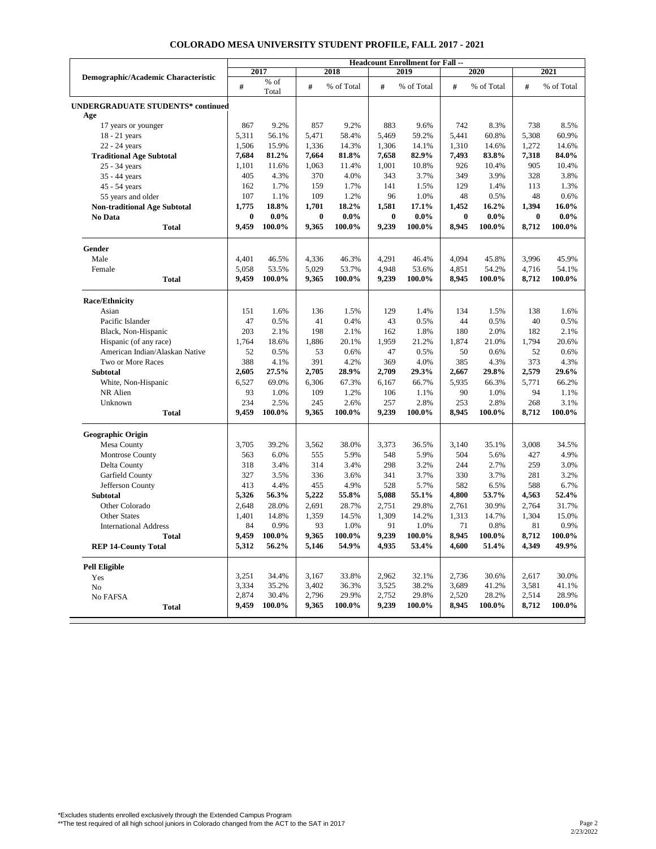|                                          | <b>Headcount Enrollment for Fall --</b> |               |          |            |          |            |          |            |          |            |
|------------------------------------------|-----------------------------------------|---------------|----------|------------|----------|------------|----------|------------|----------|------------|
| Demographic/Academic Characteristic      | 2017                                    |               | 2018     |            | 2019     |            | 2020     |            | 2021     |            |
|                                          | $\#$                                    | % of<br>Total | #        | % of Total | #        | % of Total | #        | % of Total | #        | % of Total |
| <b>UNDERGRADUATE STUDENTS* continued</b> |                                         |               |          |            |          |            |          |            |          |            |
| Age                                      |                                         |               |          |            |          |            |          |            |          |            |
| 17 years or younger                      | 867                                     | 9.2%          | 857      | 9.2%       | 883      | 9.6%       | 742      | 8.3%       | 738      | 8.5%       |
| 18 - 21 years                            | 5,311                                   | 56.1%         | 5,471    | 58.4%      | 5,469    | 59.2%      | 5,441    | 60.8%      | 5,308    | 60.9%      |
| 22 - 24 years                            | 1,506                                   | 15.9%         | 1,336    | 14.3%      | 1,306    | 14.1%      | 1,310    | 14.6%      | 1,272    | 14.6%      |
| <b>Traditional Age Subtotal</b>          | 7,684                                   | 81.2%         | 7,664    | 81.8%      | 7,658    | 82.9%      | 7,493    | 83.8%      | 7,318    | 84.0%      |
| 25 - 34 years                            | 1,101                                   | 11.6%         | 1,063    | 11.4%      | 1,001    | 10.8%      | 926      | 10.4%      | 905      | 10.4%      |
| 35 - 44 years                            | 405                                     | 4.3%          | 370      | 4.0%       | 343      | 3.7%       | 349      | 3.9%       | 328      | 3.8%       |
| 45 - 54 years                            | 162                                     | 1.7%          | 159      | 1.7%       | 141      | 1.5%       | 129      | 1.4%       | 113      | 1.3%       |
| 55 years and older                       | 107                                     | 1.1%          | 109      | 1.2%       | 96       | 1.0%       | 48       | 0.5%       | 48       | 0.6%       |
| <b>Non-traditional Age Subtotal</b>      | 1,775                                   | 18.8%         | 1,701    | 18.2%      | 1,581    | 17.1%      | 1,452    | 16.2%      | 1,394    | 16.0%      |
| No Data                                  | $\bf{0}$                                | $0.0\%$       | $\bf{0}$ | $0.0\%$    | $\bf{0}$ | $0.0\%$    | $\bf{0}$ | $0.0\%$    | $\bf{0}$ | $0.0\%$    |
| Total                                    | 9,459                                   | 100.0%        | 9,365    | 100.0%     | 9,239    | 100.0%     | 8,945    | 100.0%     | 8,712    | 100.0%     |
| Gender                                   |                                         |               |          |            |          |            |          |            |          |            |
| Male                                     | 4,401                                   | 46.5%         | 4,336    | 46.3%      | 4,291    | 46.4%      | 4,094    | 45.8%      | 3,996    | 45.9%      |
| Female                                   | 5,058                                   | 53.5%         | 5,029    | 53.7%      | 4,948    | 53.6%      | 4,851    | 54.2%      | 4,716    | 54.1%      |
| Total                                    | 9,459                                   | 100.0%        | 9,365    | 100.0%     | 9,239    | 100.0%     | 8,945    | 100.0%     | 8,712    | 100.0%     |
| <b>Race/Ethnicity</b>                    |                                         |               |          |            |          |            |          |            |          |            |
| Asian                                    | 151                                     | 1.6%          | 136      | 1.5%       | 129      | 1.4%       | 134      | 1.5%       | 138      | 1.6%       |
| Pacific Islander                         | 47                                      | 0.5%          | 41       | 0.4%       | 43       | 0.5%       | 44       | 0.5%       | 40       | 0.5%       |
| Black, Non-Hispanic                      | 203                                     | 2.1%          | 198      | 2.1%       | 162      | 1.8%       | 180      | 2.0%       | 182      | 2.1%       |
| Hispanic (of any race)                   | 1,764                                   | 18.6%         | 1,886    | 20.1%      | 1,959    | 21.2%      | 1,874    | 21.0%      | 1,794    | 20.6%      |
| American Indian/Alaskan Native           | 52                                      | 0.5%          | 53       | 0.6%       | 47       | 0.5%       | 50       | 0.6%       | 52       | 0.6%       |
| Two or More Races                        | 388                                     | 4.1%          | 391      | 4.2%       | 369      | 4.0%       | 385      | 4.3%       | 373      | 4.3%       |
| <b>Subtotal</b>                          | 2,605                                   | 27.5%         | 2,705    | 28.9%      | 2,709    | 29.3%      | 2,667    | 29.8%      | 2,579    | 29.6%      |
| White, Non-Hispanic                      | 6,527                                   | 69.0%         | 6,306    | 67.3%      | 6,167    | 66.7%      | 5,935    | 66.3%      | 5,771    | 66.2%      |
| NR Alien                                 | 93                                      | 1.0%          | 109      | 1.2%       | 106      | 1.1%       | 90       | 1.0%       | 94       | 1.1%       |
| Unknown                                  | 234                                     | 2.5%          | 245      | 2.6%       | 257      | 2.8%       | 253      | 2.8%       | 268      | 3.1%       |
| <b>Total</b>                             | 9,459                                   | 100.0%        | 9,365    | 100.0%     | 9,239    | 100.0%     | 8,945    | 100.0%     | 8,712    | 100.0%     |
| <b>Geographic Origin</b>                 |                                         |               |          |            |          |            |          |            |          |            |
| Mesa County                              | 3,705                                   | 39.2%         | 3,562    | 38.0%      | 3,373    | 36.5%      | 3,140    | 35.1%      | 3,008    | 34.5%      |
| Montrose County                          | 563                                     | 6.0%          | 555      | 5.9%       | 548      | 5.9%       | 504      | 5.6%       | 427      | 4.9%       |
| Delta County                             | 318                                     | 3.4%          | 314      | 3.4%       | 298      | 3.2%       | 244      | 2.7%       | 259      | 3.0%       |
| Garfield County                          | 327                                     | 3.5%          | 336      | 3.6%       | 341      | 3.7%       | 330      | 3.7%       | 281      | 3.2%       |
| Jefferson County                         | 413                                     | 4.4%          | 455      | 4.9%       | 528      | 5.7%       | 582      | 6.5%       | 588      | 6.7%       |
| Subtotal                                 | 5,326                                   | 56.3%         | 5,222    | 55.8%      | 5,088    | 55.1%      | 4,800    | 53.7%      | 4,563    | 52.4%      |
| Other Colorado                           | 2,648                                   | 28.0%         | 2,691    | 28.7%      | 2,751    | 29.8%      | 2,761    | 30.9%      | 2,764    | 31.7%      |
| Other States                             | 1,401                                   | 14.8%         | 1,359    | 14.5%      | 1,309    | 14.2%      | 1,313    | 14.7%      | 1,304    | 15.0%      |
| <b>International Address</b>             | 84                                      | 0.9%          | 93       | 1.0%       | 91       | 1.0%       | 71       | 0.8%       | 81       | 0.9%       |
| Total                                    | 9.459                                   | 100.0%        | 9,365    | 100.0%     | 9,239    | 100.0%     | 8,945    | 100.0%     | 8,712    | 100.0%     |
| <b>REP 14-County Total</b>               | 5,312                                   | 56.2%         | 5,146    | 54.9%      | 4,935    | 53.4%      | 4,600    | 51.4%      | 4,349    | 49.9%      |
| <b>Pell Eligible</b>                     |                                         |               |          |            |          |            |          |            |          |            |
| Yes                                      | 3,251                                   | 34.4%         | 3,167    | 33.8%      | 2,962    | 32.1%      | 2,736    | 30.6%      | 2,617    | 30.0%      |
| No                                       | 3,334                                   | 35.2%         | 3,402    | 36.3%      | 3,525    | 38.2%      | 3,689    | 41.2%      | 3,581    | 41.1%      |
| No FAFSA                                 | 2,874                                   | 30.4%         | 2,796    | 29.9%      | 2,752    | 29.8%      | 2,520    | 28.2%      | 2,514    | 28.9%      |
| <b>Total</b>                             | 9,459                                   | 100.0%        | 9,365    | 100.0%     | 9,239    | 100.0%     | 8,945    | 100.0%     | 8,712    | 100.0%     |
|                                          |                                         |               |          |            |          |            |          |            |          |            |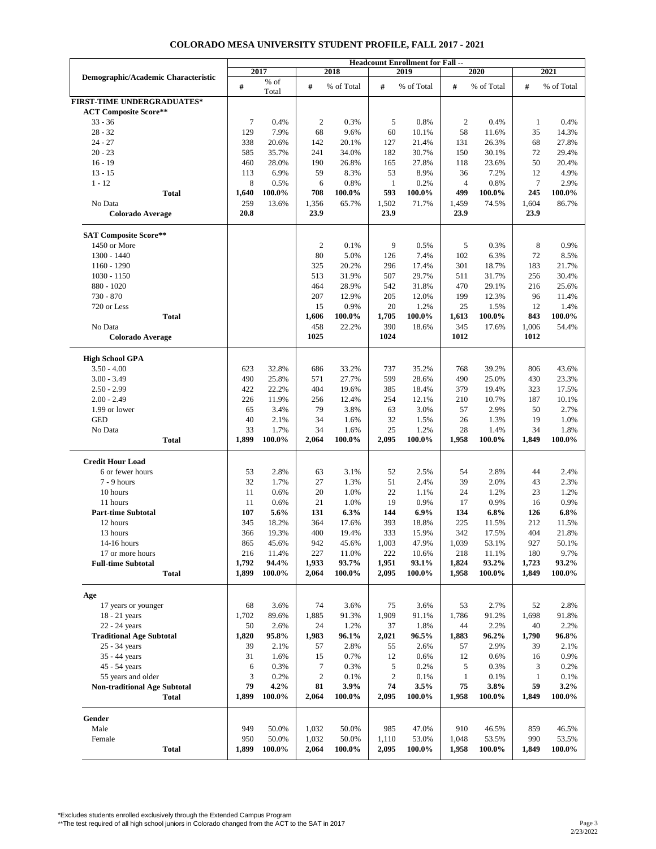|                                     |             |         |                |            |              | <b>Headcount Enrollment for Fall --</b> |                |            |              |            |
|-------------------------------------|-------------|---------|----------------|------------|--------------|-----------------------------------------|----------------|------------|--------------|------------|
| Demographic/Academic Characteristic |             | 2017    |                | 2018       |              | 2019                                    |                | 2020       |              | 2021       |
|                                     | $\#$        | $\%$ of | #              | % of Total | #            | % of Total                              | #              | % of Total | #            | % of Total |
|                                     |             | Total   |                |            |              |                                         |                |            |              |            |
| <b>FIRST-TIME UNDERGRADUATES*</b>   |             |         |                |            |              |                                         |                |            |              |            |
| <b>ACT Composite Score**</b>        |             |         |                |            |              |                                         |                |            |              |            |
| $33 - 36$                           | 7           | 0.4%    | $\mathfrak{2}$ | 0.3%       | 5            | 0.8%                                    | $\overline{2}$ | 0.4%       | 1            | 0.4%       |
| $28 - 32$                           | 129         | 7.9%    | 68             | 9.6%       | 60           | 10.1%                                   | 58             | 11.6%      | 35           | 14.3%      |
| $24 - 27$                           | 338         | 20.6%   | 142            | 20.1%      | 127          | 21.4%                                   | 131            | 26.3%      | 68           | 27.8%      |
| $20 - 23$                           | 585         | 35.7%   | 241            | 34.0%      | 182          | 30.7%                                   | 150            | 30.1%      | 72           | 29.4%      |
| $16 - 19$                           | 460         | 28.0%   | 190            | 26.8%      | 165          | 27.8%                                   | 118            | 23.6%      | 50           | 20.4%      |
| $13 - 15$                           | 113         | 6.9%    | 59             | 8.3%       | 53           | 8.9%                                    | 36             | 7.2%       | 12           | 4.9%       |
| $1 - 12$                            | $\,$ 8 $\,$ | 0.5%    | 6              | 0.8%       | 1            | 0.2%                                    | $\overline{4}$ | 0.8%       | $\tau$       | 2.9%       |
| <b>Total</b>                        | 1,640       | 100.0%  | 708            | 100.0%     | 593          | 100.0%                                  | 499            | 100.0%     | 245          | 100.0%     |
| No Data                             | 259         | 13.6%   | 1,356          | 65.7%      | 1,502        | 71.7%                                   | 1,459          | 74.5%      | 1,604        | 86.7%      |
| <b>Colorado Average</b>             | 20.8        |         | 23.9           |            | 23.9         |                                         | 23.9           |            | 23.9         |            |
|                                     |             |         |                |            |              |                                         |                |            |              |            |
| <b>SAT Composite Score**</b>        |             |         |                |            |              |                                         |                |            |              |            |
|                                     |             |         | $\mathfrak{2}$ | 0.1%       | 9            | 0.5%                                    | 5              | 0.3%       | 8            | 0.9%       |
| 1450 or More                        |             |         |                |            |              |                                         |                |            |              |            |
| 1300 - 1440                         |             |         | 80             | 5.0%       | 126          | 7.4%                                    | 102            | 6.3%       | 72           | 8.5%       |
| $1160 - 1290$                       |             |         | 325            | 20.2%      | 296          | 17.4%                                   | 301            | 18.7%      | 183          | 21.7%      |
| $1030 - 1150$                       |             |         | 513            | 31.9%      | 507          | 29.7%                                   | 511            | 31.7%      | 256          | 30.4%      |
| $880 - 1020$                        |             |         | 464            | 28.9%      | 542          | 31.8%                                   | 470            | 29.1%      | 216          | 25.6%      |
| 730 - 870                           |             |         | 207            | 12.9%      | 205          | 12.0%                                   | 199            | 12.3%      | 96           | 11.4%      |
| 720 or Less                         |             |         | 15             | 0.9%       | 20           | 1.2%                                    | 25             | 1.5%       | 12           | 1.4%       |
| <b>Total</b>                        |             |         | 1,606          | 100.0%     | 1,705        | 100.0%                                  | 1,613          | 100.0%     | 843          | 100.0%     |
| No Data                             |             |         | 458            | 22.2%      | 390          | 18.6%                                   | 345            | 17.6%      | 1,006        | 54.4%      |
| <b>Colorado Average</b>             |             |         | 1025           |            | 1024         |                                         | 1012           |            | 1012         |            |
|                                     |             |         |                |            |              |                                         |                |            |              |            |
| <b>High School GPA</b>              |             |         |                |            |              |                                         |                |            |              |            |
| $3.50 - 4.00$                       | 623         | 32.8%   | 686            | 33.2%      | 737          | 35.2%                                   | 768            | 39.2%      | 806          | 43.6%      |
| $3.00 - 3.49$                       | 490         | 25.8%   | 571            | 27.7%      | 599          | 28.6%                                   | 490            | 25.0%      | 430          | 23.3%      |
|                                     |             |         |                |            |              |                                         |                |            |              |            |
| $2.50 - 2.99$                       | 422         | 22.2%   | 404            | 19.6%      | 385          | 18.4%                                   | 379            | 19.4%      | 323          | 17.5%      |
| $2.00 - 2.49$                       | 226         | 11.9%   | 256            | 12.4%      | 254          | 12.1%                                   | 210            | 10.7%      | 187          | 10.1%      |
| 1.99 or lower                       | 65          | 3.4%    | 79             | 3.8%       | 63           | 3.0%                                    | 57             | 2.9%       | 50           | 2.7%       |
| <b>GED</b>                          | 40          | 2.1%    | 34             | 1.6%       | 32           | 1.5%                                    | 26             | 1.3%       | 19           | 1.0%       |
| No Data                             | 33          | 1.7%    | 34             | 1.6%       | 25           | 1.2%                                    | 28             | 1.4%       | 34           | 1.8%       |
| <b>Total</b>                        | 1,899       | 100.0%  | 2,064          | 100.0%     | 2,095        | 100.0%                                  | 1,958          | 100.0%     | 1,849        | 100.0%     |
|                                     |             |         |                |            |              |                                         |                |            |              |            |
| <b>Credit Hour Load</b>             |             |         |                |            |              |                                         |                |            |              |            |
| 6 or fewer hours                    | 53          | 2.8%    | 63             | 3.1%       | 52           | 2.5%                                    | 54             | 2.8%       |              | 2.4%       |
|                                     |             |         |                |            |              |                                         |                |            |              |            |
|                                     |             |         |                |            |              |                                         |                |            | 44           |            |
| $7 - 9$ hours                       | 32          | 1.7%    | 27             | 1.3%       | 51           | 2.4%                                    | 39             | 2.0%       | 43           | 2.3%       |
| 10 hours                            | 11          | 0.6%    | 20             | 1.0%       | 22           | 1.1%                                    | 24             | 1.2%       | 23           | 1.2%       |
| 11 hours                            | 11          | 0.6%    | 21             | 1.0%       | 19           | 0.9%                                    | 17             | 0.9%       | 16           | 0.9%       |
| <b>Part-time Subtotal</b>           | 107         | 5.6%    | 131            | 6.3%       | 144          | 6.9%                                    | 134            | 6.8%       | 126          | 6.8%       |
| 12 hours                            | 345         | 18.2%   | 364            | 17.6%      | 393          | 18.8%                                   | 225            | 11.5%      | 212          | 11.5%      |
| 13 hours                            | 366         | 19.3%   | 400            | 19.4%      | 333          | 15.9%                                   | 342            | 17.5%      | 404          | 21.8%      |
| 14-16 hours                         | 865         | 45.6%   | 942            | 45.6%      | 1,003        | 47.9%                                   | 1,039          | 53.1%      | 927          | 50.1%      |
| 17 or more hours                    | 216         | 11.4%   | 227            | 11.0%      | 222          | 10.6%                                   | 218            | 11.1%      | 180          | 9.7%       |
| <b>Full-time Subtotal</b>           | 1,792       | 94.4%   | 1,933          | 93.7%      | 1,951        | 93.1%                                   | 1,824          | 93.2%      | 1,723        | 93.2%      |
| <b>Total</b>                        | 1,899       | 100.0%  | 2,064          | 100.0%     | 2,095        | 100.0%                                  | 1,958          | 100.0%     | 1,849        | 100.0%     |
|                                     |             |         |                |            |              |                                         |                |            |              |            |
| Age                                 |             |         |                |            |              |                                         |                |            |              |            |
| 17 years or younger                 | 68          | 3.6%    | 74             | 3.6%       | 75           | 3.6%                                    | 53             | 2.7%       | 52           | 2.8%       |
| $18 - 21$ years                     | 1,702       | 89.6%   | 1,885          | 91.3%      | 1,909        | 91.1%                                   | 1,786          | 91.2%      | 1,698        | 91.8%      |
| 22 - 24 years                       | 50          | 2.6%    | 24             | 1.2%       | 37           | 1.8%                                    | 44             | 2.2%       | 40           | 2.2%       |
|                                     |             |         |                |            |              |                                         |                |            |              |            |
| <b>Traditional Age Subtotal</b>     | 1,820       | 95.8%   | 1,983          | 96.1%      | 2,021        | 96.5%                                   | 1,883          | 96.2%      | 1,790        | 96.8%      |
| 25 - 34 years                       | 39          | 2.1%    | 57             | 2.8%       | 55           | 2.6%                                    | 57             | 2.9%       | 39           | 2.1%       |
| 35 - 44 years                       | 31          | 1.6%    | 15             | 0.7%       | 12           | 0.6%                                    | 12             | 0.6%       | 16           | 0.9%       |
| 45 - 54 years                       | 6           | 0.3%    | 7              | 0.3%       | 5            | 0.2%                                    | 5              | 0.3%       | 3            | 0.2%       |
| 55 years and older                  | 3           | 0.2%    | $\sqrt{2}$     | 0.1%       | $\mathbf{2}$ | 0.1%                                    | $\mathbf{1}$   | 0.1%       | $\mathbf{1}$ | 0.1%       |
| <b>Non-traditional Age Subtotal</b> | 79          | 4.2%    | 81             | 3.9%       | 74           | 3.5%                                    | 75             | 3.8%       | 59           | 3.2%       |
| Total                               | 1,899       | 100.0%  | 2,064          | 100.0%     | 2,095        | 100.0%                                  | 1,958          | 100.0%     | 1,849        | 100.0%     |
|                                     |             |         |                |            |              |                                         |                |            |              |            |
| Gender                              |             |         |                |            |              |                                         |                |            |              |            |
| Male                                | 949         | 50.0%   | 1,032          | 50.0%      | 985          | 47.0%                                   | 910            | 46.5%      | 859          | 46.5%      |
| Female                              | 950         | 50.0%   | 1,032          | 50.0%      | 1,110        | 53.0%                                   | 1,048          | 53.5%      | 990          | 53.5%      |
| Total                               | 1,899       | 100.0%  | 2,064          | 100.0%     | 2,095        | 100.0%                                  | 1,958          | 100.0%     | 1,849        | 100.0%     |